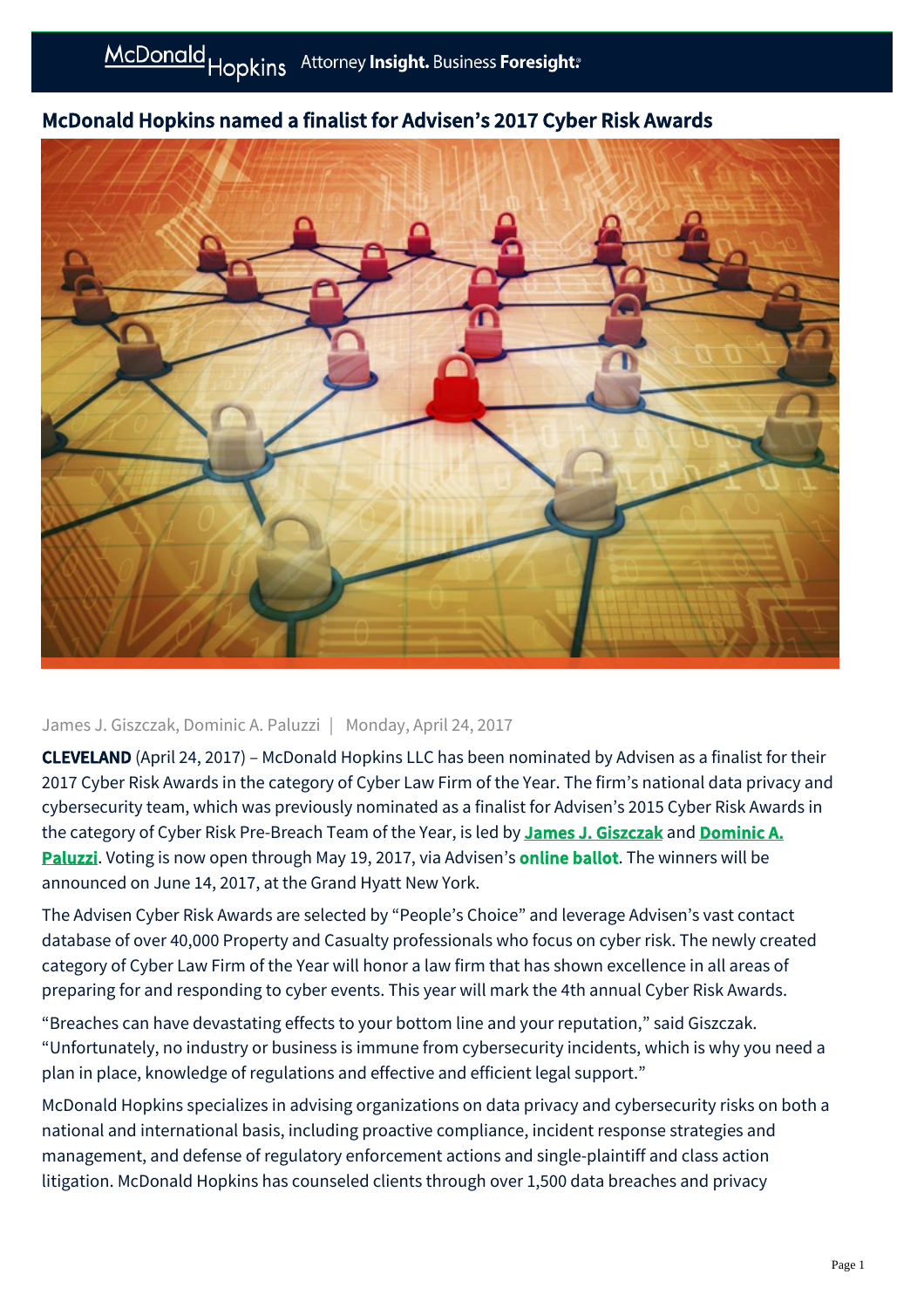## McDonald Hopkins named a finalist for Advisen's 2017 Cyber Risk Awards

## James J. Giszczak, Dominic A. Paluzzi | Monday, April 24, 2017

CLEVELAND (April 24, 2017) – McDonald Hopkins LLC has been nominated by Advisen as a finalist for their 2017 Cyber Risk Awards in the category of Cyber Law Firm of the Year. The firm's national data privacy and cybersecurity team, which was previously nominated as a finalist for Advisen's 2015 Cyber Risk Awards in [the category of Cyber Risk Pre-Breach Team of the Year, is led by](https://mcdonaldhopkins.com/Team/Attorney/d/Dominic-Paluzzi) [James J. Giszczak](https://mcdonaldhopkins.com/Team/Attorney/j/James-Giszczak) and Dominic A. Paluzzi. Voting is now open through May 19, 2017, via Advisen's **[online ballot](http://www.in.advisenltd.com/2017-cyber-risk-awards-voting?hsCtaTracking=f35b8268-8e85-4a81-b9a3-ccdf1a0c3af3%7C0f67959a-3f66-4829-93bd-95edc39ea09c)**. The winners will be announced on June 14, 2017, at the Grand Hyatt New York.

The Advisen Cyber Risk Awards are selected by "People's Choice" and leverage Advisen's vast contact database of over 40,000 Property and Casualty professionals who focus on cyber risk. The newly created category of Cyber Law Firm of the Year will honor a law firm that has shown excellence in all areas of preparing for and responding to cyber events. This year will mark the 4th annual Cyber Risk Awards.

"Breaches can have devastating effects to your bottom line and your reputation," said Giszczak. "Unfortunately, no industry or business is immune from cybersecurity incidents, which is why you need a plan in place, knowledge of regulations and effective and efficient legal support."

McDonald Hopkins specializes in advising organizations on data privacy and cybersecurity risks on both a national and international basis, including proactive compliance, incident response strategies and management, and defense of regulatory enforcement actions and single-plaintiff and class action litigation. McDonald Hopkins has counseled clients through over 1,500 data breaches and privacy